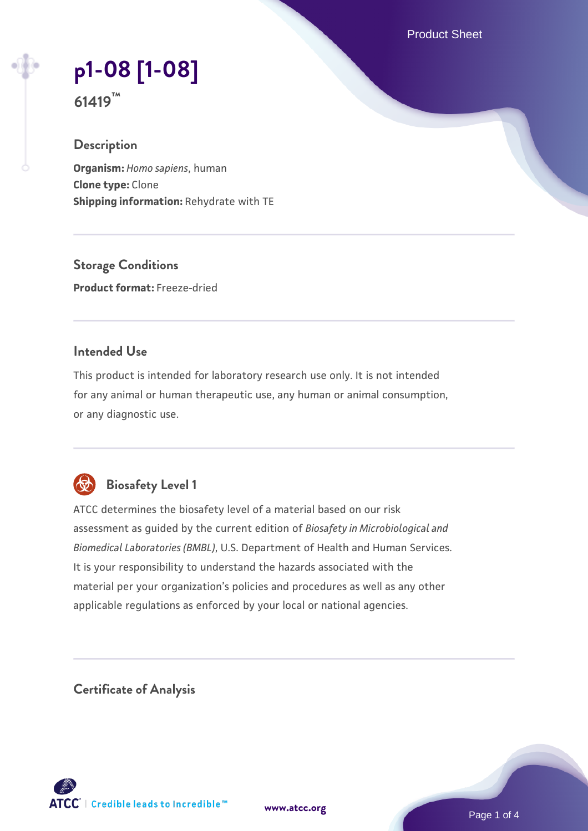Product Sheet

# **[p1-08 \[1-08\]](https://www.atcc.org/products/61419)**

**61419™**

# **Description**

**Organism:** *Homo sapiens*, human **Clone type:** Clone **Shipping information:** Rehydrate with TE

**Storage Conditions Product format:** Freeze-dried

# **Intended Use**

This product is intended for laboratory research use only. It is not intended for any animal or human therapeutic use, any human or animal consumption, or any diagnostic use.



# **Biosafety Level 1**

ATCC determines the biosafety level of a material based on our risk assessment as guided by the current edition of *Biosafety in Microbiological and Biomedical Laboratories (BMBL)*, U.S. Department of Health and Human Services. It is your responsibility to understand the hazards associated with the material per your organization's policies and procedures as well as any other applicable regulations as enforced by your local or national agencies.

**Certificate of Analysis**

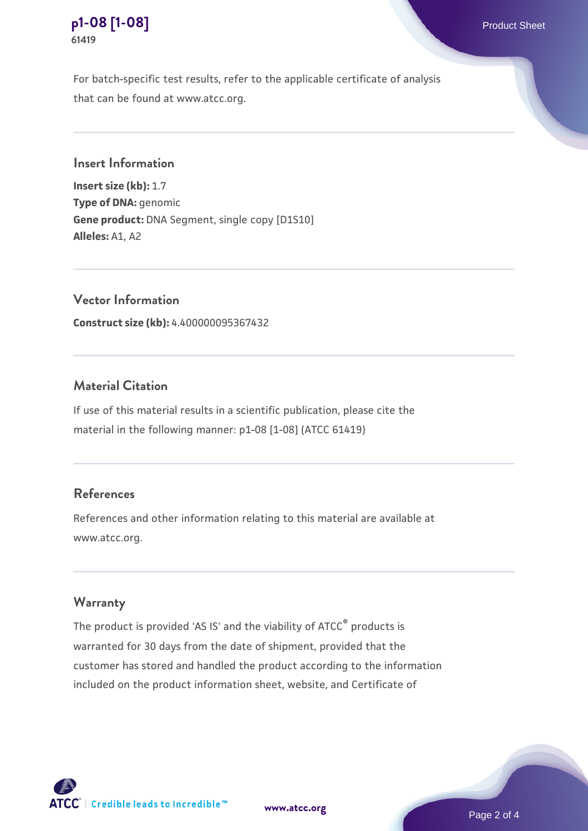

For batch-specific test results, refer to the applicable certificate of analysis that can be found at www.atcc.org.

## **Insert Information**

**Insert size (kb):** 1.7 **Type of DNA:** genomic **Gene product:** DNA Segment, single copy [D1S10] **Alleles:** A1, A2

**Vector Information Construct size (kb):** 4.400000095367432

## **Material Citation**

If use of this material results in a scientific publication, please cite the material in the following manner: p1-08 [1-08] (ATCC 61419)

# **References**

References and other information relating to this material are available at www.atcc.org.

#### **Warranty**

The product is provided 'AS IS' and the viability of ATCC® products is warranted for 30 days from the date of shipment, provided that the customer has stored and handled the product according to the information included on the product information sheet, website, and Certificate of



**[www.atcc.org](http://www.atcc.org)**

Page 2 of 4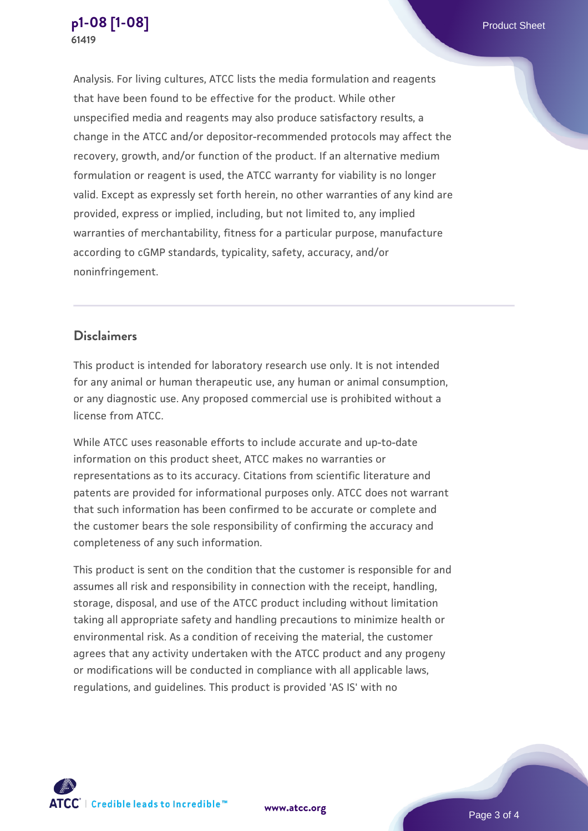Analysis. For living cultures, ATCC lists the media formulation and reagents that have been found to be effective for the product. While other unspecified media and reagents may also produce satisfactory results, a change in the ATCC and/or depositor-recommended protocols may affect the recovery, growth, and/or function of the product. If an alternative medium formulation or reagent is used, the ATCC warranty for viability is no longer valid. Except as expressly set forth herein, no other warranties of any kind are provided, express or implied, including, but not limited to, any implied warranties of merchantability, fitness for a particular purpose, manufacture according to cGMP standards, typicality, safety, accuracy, and/or noninfringement.

## **Disclaimers**

This product is intended for laboratory research use only. It is not intended for any animal or human therapeutic use, any human or animal consumption, or any diagnostic use. Any proposed commercial use is prohibited without a license from ATCC.

While ATCC uses reasonable efforts to include accurate and up-to-date information on this product sheet, ATCC makes no warranties or representations as to its accuracy. Citations from scientific literature and patents are provided for informational purposes only. ATCC does not warrant that such information has been confirmed to be accurate or complete and the customer bears the sole responsibility of confirming the accuracy and completeness of any such information.

This product is sent on the condition that the customer is responsible for and assumes all risk and responsibility in connection with the receipt, handling, storage, disposal, and use of the ATCC product including without limitation taking all appropriate safety and handling precautions to minimize health or environmental risk. As a condition of receiving the material, the customer agrees that any activity undertaken with the ATCC product and any progeny or modifications will be conducted in compliance with all applicable laws, regulations, and guidelines. This product is provided 'AS IS' with no



**[www.atcc.org](http://www.atcc.org)**

Page 3 of 4